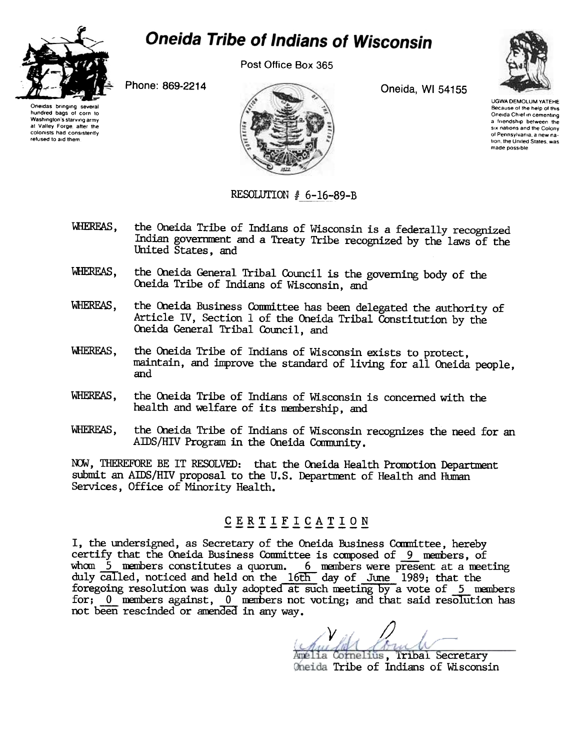

at Valley Forge, after the

colonists had consistently

refused to aid them

## **Oneida Tribe of Indians of Wisconsin**

Post Office Box 365

Oneida, WI 54155



**UGWA DEMOLUM YATEHE** Because of the help of this Oneida Chief in cementing a friendship between the six nations and the Colony of Pennsylvania, a new na tion, the United States, was made possible

Oneidas bringing several hundred bags of corn to Washington's starving army

Phone: 869-2214



## RESOLUTION  $# 6-16-89-B$

- WHEREAS, the Oneida Tribe of Indians of Wisconsin is a federally recognized Indian government and a Treaty Tribe recognized by the laws of the United States, and
- WHEREAS, the Oneida General Tribal Council is the governing body of the Oneida Tribe of Indians of Wisconsin, and
- WHEREAS, the Oneida Business Committee has been delegated the authority of Article IV, Section 1 of the Oneida Tribal Constitution by the Oneida General Tribal Council, and
- **WHEREAS.** the Oneida Tribe of Indians of Wisconsin exists to protect. maintain, and improve the standard of living for all Oneida people. and
- WHEREAS. the Oneida Tribe of Indians of Wisconsin is concerned with the health and welfare of its membership, and
- the Oneida Tribe of Indians of Wisconsin recognizes the need for an WHEREAS, AIDS/HIV Program in the Oneida Community.

NOW, THEREFORE BE IT RESOLVED: that the Oneida Health Promotion Department submit an AIDS/HIV proposal to the U.S. Department of Health and Human Services, Office of Minority Health.

## CERTIFICATION

I, the undersigned, as Secretary of the Oneida Business Committee, hereby certify that the Oneida Business Committee is composed of 9 members, of whom  $\overline{5}$  members constitutes a quorum.  $\overline{6}$  members were present at a meeting duly called, noticed and held on the 16th day of June 1989; that the foregoing resolution was duly adopted at such meeting by a vote of 5 members for; 0 members against, 0 members not voting; and that said resolution has not been rescinded or amended in any way.

Amélia Cornelius, **Tribal Secretary** Oneida Tribe of Indians of Wisconsin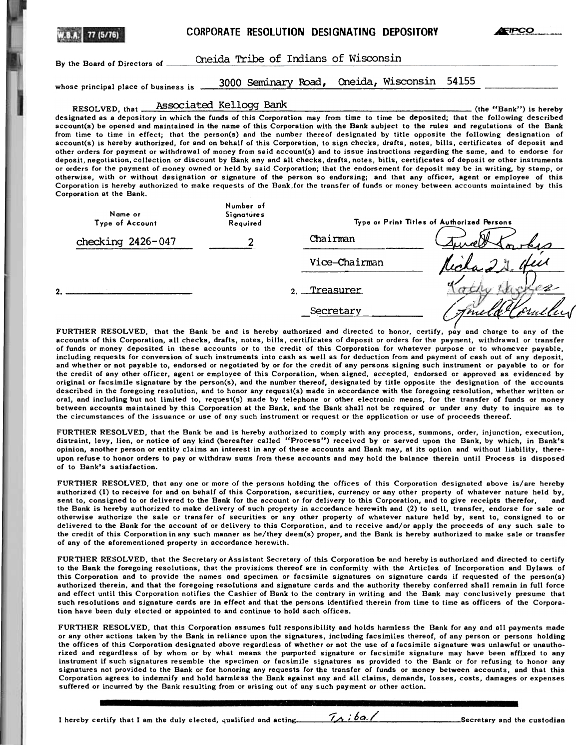|                                                                                                                                                                                                                                                                                                                                                                                                                                                                                                                                                                                                                                                                                                                                                                                                                                                                                                                                                                                                                                                                                                                                                              | CORPORATE RESOLUTION DESIGNATING DEPOSITORY |                                            |                            | FIPCC                  |
|--------------------------------------------------------------------------------------------------------------------------------------------------------------------------------------------------------------------------------------------------------------------------------------------------------------------------------------------------------------------------------------------------------------------------------------------------------------------------------------------------------------------------------------------------------------------------------------------------------------------------------------------------------------------------------------------------------------------------------------------------------------------------------------------------------------------------------------------------------------------------------------------------------------------------------------------------------------------------------------------------------------------------------------------------------------------------------------------------------------------------------------------------------------|---------------------------------------------|--------------------------------------------|----------------------------|------------------------|
| Oneida Tribe of Indians of Wisconsin<br>By the Board of Directors of                                                                                                                                                                                                                                                                                                                                                                                                                                                                                                                                                                                                                                                                                                                                                                                                                                                                                                                                                                                                                                                                                         |                                             |                                            |                            |                        |
| whose principal place of business is                                                                                                                                                                                                                                                                                                                                                                                                                                                                                                                                                                                                                                                                                                                                                                                                                                                                                                                                                                                                                                                                                                                         | 3000 Seminary Road,                         |                                            | Oneida, Wisconsin<br>54155 |                        |
|                                                                                                                                                                                                                                                                                                                                                                                                                                                                                                                                                                                                                                                                                                                                                                                                                                                                                                                                                                                                                                                                                                                                                              | RESOLVED, that Associated Kellogg Bank      |                                            |                            | (the "Bank") is hereby |
| account(s) be opened and maintained in the name of this Corporation with the Bank subject to the rules and regulations of the Bank<br>from time to time in effect; that the person(s) and the number thereof designated by title opposite the following designation of<br>account(s) is hereby authorized, for and on behalf of this Corporation, to sign checks, drafts, notes, bills, certificates of deposit and<br>other orders for payment or withdrawal of money from said account(s) and to issue instructions regarding the same, and to endorse for<br>deposit, negotiation, collection or discount by Bank any and all checks, drafts, notes, bills, certificates of deposit or other instruments<br>or orders for the payment of money owned or held by said Corporation; that the endorsement for deposit may be in writing, by stamp, or<br>otherwise, with or without designation or signature of the person so endorsing; and that any officer, agent or employee of this<br>Corporation is hereby authorized to make requests of the Bank for the transfer of funds or money between accounts maintained by this<br>Corporation at the Bank. |                                             |                                            |                            |                        |
| Name or                                                                                                                                                                                                                                                                                                                                                                                                                                                                                                                                                                                                                                                                                                                                                                                                                                                                                                                                                                                                                                                                                                                                                      | Number of<br>Signatures                     |                                            |                            |                        |
| Type of Account                                                                                                                                                                                                                                                                                                                                                                                                                                                                                                                                                                                                                                                                                                                                                                                                                                                                                                                                                                                                                                                                                                                                              | Required                                    | Type or Print Titles of Authorized Persons |                            |                        |
| checking $2426 - 047$                                                                                                                                                                                                                                                                                                                                                                                                                                                                                                                                                                                                                                                                                                                                                                                                                                                                                                                                                                                                                                                                                                                                        |                                             | Chairman                                   |                            |                        |
|                                                                                                                                                                                                                                                                                                                                                                                                                                                                                                                                                                                                                                                                                                                                                                                                                                                                                                                                                                                                                                                                                                                                                              |                                             | Vice-Chairman                              |                            |                        |
|                                                                                                                                                                                                                                                                                                                                                                                                                                                                                                                                                                                                                                                                                                                                                                                                                                                                                                                                                                                                                                                                                                                                                              |                                             | Treasurer<br>$\mathbf{2}$ .                |                            |                        |

2.

FURTHER RESOLVED, that the Bank be and is hereby authorized and directed to honor, certify, pay and charge to any of the accounts of this Corporation, all checks, drafts, notes, bills, certificates of deposit or orders for the payment, withdrawal or transfer of funds or money deposited in these accounts or to the credit of this Corporation for whatever purpose or to whomever payable, including requests for conversion of such instruments into cash as well as for deduction from and payment of cash out of any deposit, and whether or not payable to, endorsed or negotiated by or for the credit of any persons signing such instrument or payable to or for the credit of any other officer, agent or employee of this Corporation, when signed, accepted, endorsed or approved as evidenced by original or facsimile signature by the person(s), and the number thereof, designated by title opposite the designation of the accounts described in the foregoing resolution, and to honor any request(s) made in accordance with the foregoing resolution, whether written or oral, and including but not limited to, request(s) made by telephone or other electronic means, for the transfer of funds or money between accounts maintained by this Corporation at the Bank, and the Bank shall not be required or under any duty to inquire as to the circumstances of the issuance or use of any such instrument or request or the application or use of proceeds thereof.

Secretary metal functions

 $\sqrt{g}$  *diviti* 

FURTHER RESOLVED, that the Bank be and is hereby authorized to comply with any process, summons, order, injunction, execution, distraint, levy, lien, or notice of any kind (hereafter called "Process") received by or served upon the Bank, by which, in Bank's opinion, another person or entity claims an interest in any of these accounts and Bank may, at its option and without liability, thereupon refuse to honor orders to payor withdraw sums from these accounts and may hold the balance therein until Process is disposed of to Bank's satisfaction.

FURTHER RESOLVED, that anyone or more of the persons holding the offices of this Corporation designated above is/are hereby authorized (1) to receive for and on behalf of this Corporation, securities, currency or any other property of whatever nature held by, sent to, consigned to or delivered to the Bank for the account or for delivery to this Corporation, and to give receipts therefor, and the Bank is hereby authorized to make delivery of such property in accordance herewith and (2) to sell, transfer, endorse for sale or otherwise authorize the sale or transfer of securities or any other property of whatever nature held by, sent to, consigned to or delivered to the Bank for the account of or delivery to this Corporation, and to receive and/or apply the proceeds of any such sale to the credit of this Corporation in any such manner as he/they deem(s) proper, and the Bank is hereby authorized to make sale or transfer of any of the aforementioned property in accordance herewith.

FURTHER RESOLVED, that the Secretary or Assistant Secretary of this Corporation be and hereby is authorized and directed to certify to the Bank the foregoing resolutions, that the provisions thereof are in conformity with the Articles of Incorporation and Dylaws of this Corporation and to provide the names and specimen or facsimile signatures on signature cards if requested of the person(s} authorized therein, and that the foregoing resolutions and signature cards and the authority thereby conferred shall remain in full force and effect until this Corporation notifies the Cashier of Bank to the contrary in writing and the Bank may conclusively presume that such resolutions and signature cards are in effect and that the persons identified therein from time to time as officers of the Corporation have been duly elected or appointed to and continue to hold such offices.

FURTHER RESOLVED, that this Corporation assumes full responsibility and holds harmless the Bank for any and all payments made or any other actions taken by the Bank in reliance upon the signatures, including facsimiles thereof, of any person or persons holding the offices of this Corporation designated above regardless of whether or not the use of a facsimile signature was unlawful or unauthorized and regardless of by whom or by what means the purported signature or facsimile signature may have been affixed to any instrument if such signatures resemble the specimen or facsimile signatures as provided to the Bank or for refusing to honor any signatures not provided to the Bank or for honoring any requests for the transfer of funds or money between accounts, and that this Corporation agrees to indemnify and hold harmless the Bank against any and all claims, demands, losses, costs, damages or expenses suffered or incurred by the Bank resulting from or arising out of any such payment or other action.

I hereby certify that I am the duly elected, qualified and acting  $\frac{7}{4}$ ,  $6a$  / Secretary and the custodian